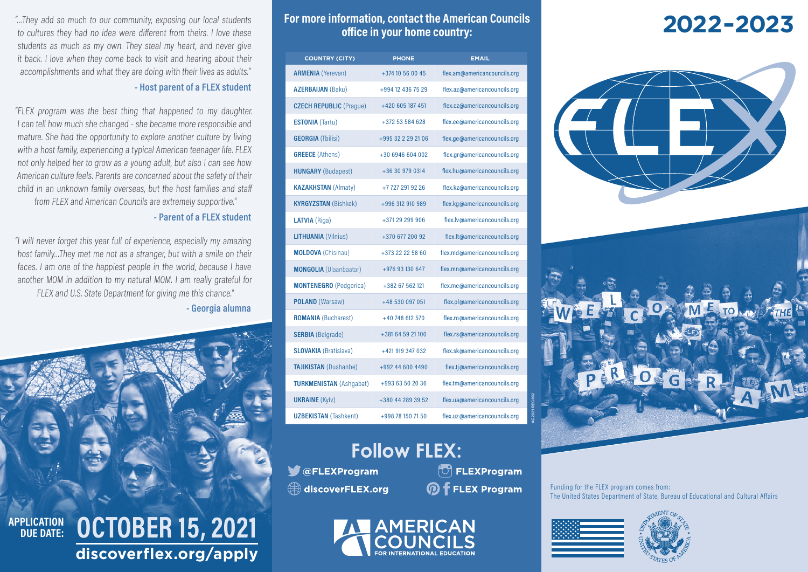"…They add so much to our community, exposing our local students to cultures they had no idea were different from theirs. I love these students as much as my own. They steal my heart, and never give it back. I love when they come back to visit and hearing about their accomplishments and what they are doing with their lives as adults."

### **- Host parent of a FLEX student**

"FLEX program was the best thing that happened to my daughter. I can tell how much she changed - she became more responsible and mature. She had the opportunity to explore another culture by living with a host family, experiencing a typical American teenager life. FLEX not only helped her to grow as a young adult, but also I can see how American culture feels. Parents are concerned about the safety of their child in an unknown family overseas, but the host families and staff from FLEX and American Councils are extremely supportive."

### **- Parent of a FLEX student**

"I will never forget this year full of experience, especially my amazing host family…They met me not as a stranger, but with a smile on their faces. I am one of the happiest people in the world, because I have another MOM in addition to my natural MOM. I am really grateful for FLEX and U.S. State Department for giving me this chance."

### **- Georgia alumna**



### For more information, contact the American Councils **2022-2023 office in your home country:**

| <b>COUNTRY (CITY)</b>          | <b>PHONE</b>       | <b>EMAIL</b>                 |  |
|--------------------------------|--------------------|------------------------------|--|
| <b>ARMENIA</b> (Yerevan)       | +374 10 56 00 45   | flex.am@americancouncils.org |  |
| <b>AZERBAIJAN (Baku)</b>       | +994 12 436 75 29  | flex.az@americancouncils.org |  |
| <b>CZECH REPUBLIC (Praque)</b> | +420 605 187 451   | flex.cz@americancouncils.org |  |
| <b>ESTONIA (Tartu)</b>         | +372 53 584 628    | flex.ee@americancouncils.org |  |
| <b>GEORGIA</b> (Tbilisi)       | +995 32 2 29 21 06 | flex.ge@americancouncils.org |  |
| <b>GREECE</b> (Athens)         | +30 6946 604 002   | flex.gr@americancouncils.org |  |
| <b>HUNGARY</b> (Budapest)      | +36 30 979 0314    | flex.hu@americancouncils.org |  |
| <b>KAZAKHSTAN (Almaty)</b>     | +77272919226       | flex.kz@americancouncils.org |  |
| <b>KYRGYZSTAN (Bishkek)</b>    | +996 312 910 989   | flex.kg@americancouncils.org |  |
| LATVIA (Riga)                  | +371 29 299 906    | flex.lv@americancouncils.org |  |
| <b>LITHUANIA (Vilnius)</b>     | +370 677 200 92    | flex.lt@americancouncils.org |  |
| <b>MOLDOVA</b> (Chisinau)      | +373 22 22 58 60   | flex.md@americancouncils.org |  |
| <b>MONGOLIA</b> (Ulaanbaatar)  | +976 93 130 647    | flex.mn@americancouncils.org |  |
| <b>MONTENEGRO</b> (Podgorica)  | +382 67 562 121    | flex.me@americancouncils.org |  |
| POLAND (Warsaw)                | +48 530 097 051    | flex.pl@americancouncils.org |  |
| <b>ROMANIA</b> (Bucharest)     | +40 748 612 570    | flex.ro@americancouncils.org |  |
| <b>SERBIA</b> (Belgrade)       | +381 64 59 21 100  | flex.rs@americancouncils.org |  |
| <b>SLOVAKIA</b> (Bratislava)   | +421 919 347 032   | flex.sk@americancouncils.org |  |
| <b>TAJIKISTAN</b> (Dushanbe)   | +992 44 600 4490   | flex.tj@americancouncils.org |  |
| <b>TURKMENISTAN (Ashgabat)</b> | +993 63 50 20 36   | flex.tm@americancouncils.org |  |
| <b>UKRAINE</b> (Kyiv)          | +380 44 289 39 52  | flex.ua@americancouncils.org |  |
| <b>UZBEKISTAN</b> (Tashkent)   | +998 78 150 71 50  | flex.uz@americancouncils.org |  |



discoverFLEX.org

 $\Box$  FLEXProgram *M* f FLEX Program





Funding for the FLEX program comes from: The United States Department of State, Bureau of Educational and Cultural Affairs